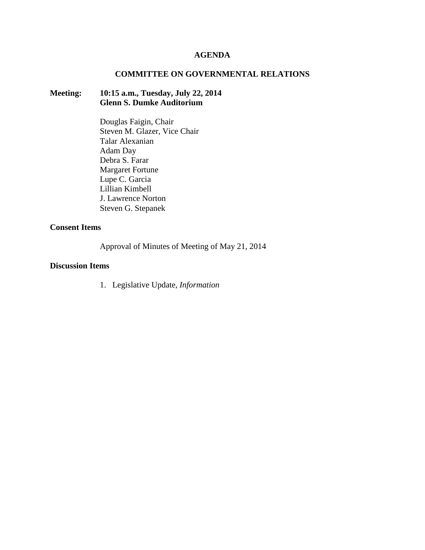## **AGENDA**

## **COMMITTEE ON GOVERNMENTAL RELATIONS**

# **Meeting: 10:15 a.m., Tuesday, July 22, 2014 Glenn S. Dumke Auditorium**

Douglas Faigin, Chair Steven M. Glazer, Vice Chair Talar Alexanian Adam Day Debra S. Farar Margaret Fortune Lupe C. Garcia Lillian Kimbell J. Lawrence Norton Steven G. Stepanek

# **Consent Items**

Approval of Minutes of Meeting of May 21, 2014

#### **Discussion Items**

1. Legislative Update, *Information*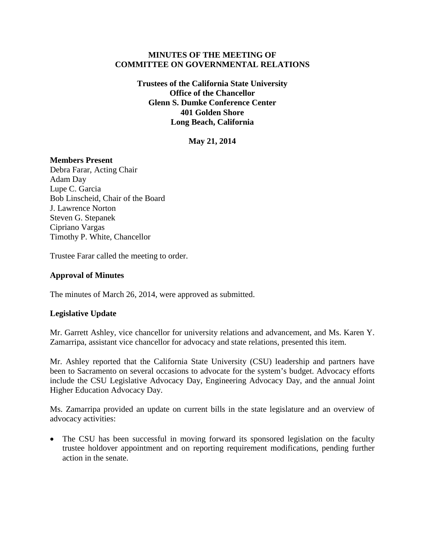## **MINUTES OF THE MEETING OF COMMITTEE ON GOVERNMENTAL RELATIONS**

**Trustees of the California State University Office of the Chancellor Glenn S. Dumke Conference Center 401 Golden Shore Long Beach, California**

**May 21, 2014**

## **Members Present**

Debra Farar, Acting Chair Adam Day Lupe C. Garcia Bob Linscheid, Chair of the Board J. Lawrence Norton Steven G. Stepanek Cipriano Vargas Timothy P. White, Chancellor

Trustee Farar called the meeting to order.

## **Approval of Minutes**

The minutes of March 26, 2014, were approved as submitted.

## **Legislative Update**

Mr. Garrett Ashley, vice chancellor for university relations and advancement, and Ms. Karen Y. Zamarripa, assistant vice chancellor for advocacy and state relations, presented this item.

Mr. Ashley reported that the California State University (CSU) leadership and partners have been to Sacramento on several occasions to advocate for the system's budget. Advocacy efforts include the CSU Legislative Advocacy Day, Engineering Advocacy Day, and the annual Joint Higher Education Advocacy Day.

Ms. Zamarripa provided an update on current bills in the state legislature and an overview of advocacy activities:

• The CSU has been successful in moving forward its sponsored legislation on the faculty trustee holdover appointment and on reporting requirement modifications, pending further action in the senate.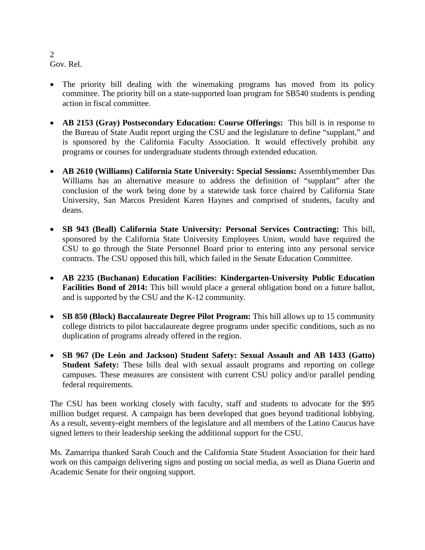Gov. Rel.

- The priority bill dealing with the winemaking programs has moved from its policy committee. The priority bill on a state-supported loan program for SB540 students is pending action in fiscal committee.
- **AB 2153 (Gray) Postsecondary Education: Course Offerings:** This bill is in response to the Bureau of State Audit report urging the CSU and the legislature to define "supplant," and is sponsored by the California Faculty Association. It would effectively prohibit any programs or courses for undergraduate students through extended education.
- **AB 2610 (Williams) California State University: Special Sessions:** Assemblymember Das Williams has an alternative measure to address the definition of "supplant" after the conclusion of the work being done by a statewide task force chaired by California State University, San Marcos President Karen Haynes and comprised of students, faculty and deans.
- **SB 943 (Beall) California State University: Personal Services Contracting:** This bill, sponsored by the California State University Employees Union, would have required the CSU to go through the State Personnel Board prior to entering into any personal service contracts. The CSU opposed this bill, which failed in the Senate Education Committee.
- **AB 2235 (Buchanan) Education Facilities: Kindergarten-University Public Education Facilities Bond of 2014:** This bill would place a general obligation bond on a future ballot, and is supported by the CSU and the K-12 community.
- **SB 850 (Block) Baccalaureate Degree Pilot Program:** This bill allows up to 15 community college districts to pilot baccalaureate degree programs under specific conditions, such as no duplication of programs already offered in the region.
- **SB 967 (De León and Jackson) Student Safety: Sexual Assault and AB 1433 (Gatto) Student Safety:** These bills deal with sexual assault programs and reporting on college campuses. These measures are consistent with current CSU policy and/or parallel pending federal requirements.

The CSU has been working closely with faculty, staff and students to advocate for the \$95 million budget request. A campaign has been developed that goes beyond traditional lobbying. As a result, seventy-eight members of the legislature and all members of the Latino Caucus have signed letters to their leadership seeking the additional support for the CSU.

Ms. Zamarripa thanked Sarah Couch and the California State Student Association for their hard work on this campaign delivering signs and posting on social media, as well as Diana Guerin and Academic Senate for their ongoing support.

2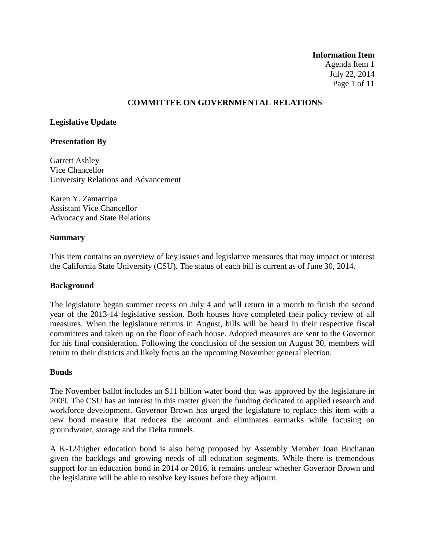#### **Information Item**

Agenda Item 1 July 22, 2014 Page 1 of 11

### **COMMITTEE ON GOVERNMENTAL RELATIONS**

## **Legislative Update**

### **Presentation By**

Garrett Ashley Vice Chancellor University Relations and Advancement

Karen Y. Zamarripa Assistant Vice Chancellor Advocacy and State Relations

#### **Summary**

This item contains an overview of key issues and legislative measures that may impact or interest the California State University (CSU). The status of each bill is current as of June 30, 2014.

#### **Background**

The legislature began summer recess on July 4 and will return in a month to finish the second year of the 2013-14 legislative session. Both houses have completed their policy review of all measures. When the legislature returns in August, bills will be heard in their respective fiscal committees and taken up on the floor of each house. Adopted measures are sent to the Governor for his final consideration. Following the conclusion of the session on August 30, members will return to their districts and likely focus on the upcoming November general election.

#### **Bonds**

The November ballot includes an \$11 billion water bond that was approved by the legislature in 2009. The CSU has an interest in this matter given the funding dedicated to applied research and workforce development. Governor Brown has urged the legislature to replace this item with a new bond measure that reduces the amount and eliminates earmarks while focusing on groundwater, storage and the Delta tunnels.

A K-12/higher education bond is also being proposed by Assembly Member Joan Buchanan given the backlogs and growing needs of all education segments. While there is tremendous support for an education bond in 2014 or 2016, it remains unclear whether Governor Brown and the legislature will be able to resolve key issues before they adjourn.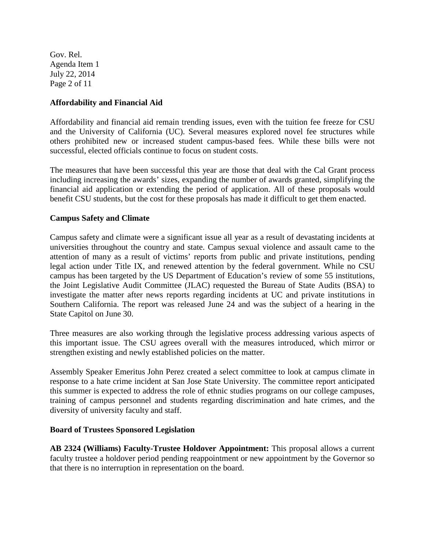Gov. Rel. Agenda Item 1 July 22, 2014 Page 2 of 11

# **Affordability and Financial Aid**

Affordability and financial aid remain trending issues, even with the tuition fee freeze for CSU and the University of California (UC). Several measures explored novel fee structures while others prohibited new or increased student campus-based fees. While these bills were not successful, elected officials continue to focus on student costs.

The measures that have been successful this year are those that deal with the Cal Grant process including increasing the awards' sizes, expanding the number of awards granted, simplifying the financial aid application or extending the period of application. All of these proposals would benefit CSU students, but the cost for these proposals has made it difficult to get them enacted.

# **Campus Safety and Climate**

Campus safety and climate were a significant issue all year as a result of devastating incidents at universities throughout the country and state. Campus sexual violence and assault came to the attention of many as a result of victims' reports from public and private institutions, pending legal action under Title IX, and renewed attention by the federal government. While no CSU campus has been targeted by the US Department of Education's review of some 55 institutions, the Joint Legislative Audit Committee (JLAC) requested the Bureau of State Audits (BSA) to investigate the matter after news reports regarding incidents at UC and private institutions in Southern California. The report was released June 24 and was the subject of a hearing in the State Capitol on June 30.

Three measures are also working through the legislative process addressing various aspects of this important issue. The CSU agrees overall with the measures introduced, which mirror or strengthen existing and newly established policies on the matter.

Assembly Speaker Emeritus John Perez created a select committee to look at campus climate in response to a hate crime incident at San Jose State University. The committee report anticipated this summer is expected to address the role of ethnic studies programs on our college campuses, training of campus personnel and students regarding discrimination and hate crimes, and the diversity of university faculty and staff.

## **Board of Trustees Sponsored Legislation**

**AB 2324 (Williams) Faculty-Trustee Holdover Appointment:** This proposal allows a current faculty trustee a holdover period pending reappointment or new appointment by the Governor so that there is no interruption in representation on the board.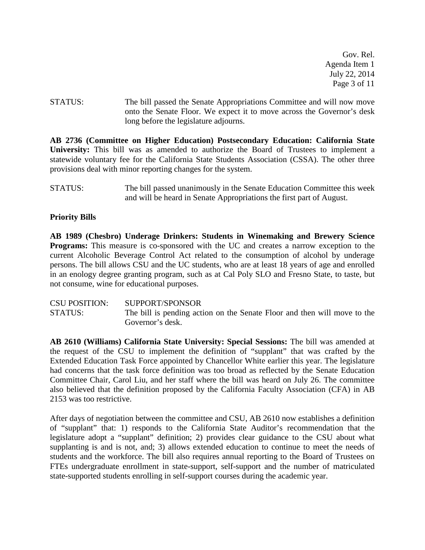Gov. Rel. Agenda Item 1 July 22, 2014 Page 3 of 11

STATUS: The bill passed the Senate Appropriations Committee and will now move onto the Senate Floor. We expect it to move across the Governor's desk long before the legislature adjourns.

**AB 2736 (Committee on Higher Education) Postsecondary Education: California State University:** This bill was as amended to authorize the Board of Trustees to implement a statewide voluntary fee for the California State Students Association (CSSA). The other three provisions deal with minor reporting changes for the system.

## **Priority Bills**

**AB 1989 (Chesbro) Underage Drinkers: Students in Winemaking and Brewery Science Programs:** This measure is co-sponsored with the UC and creates a narrow exception to the current Alcoholic Beverage Control Act related to the consumption of alcohol by underage persons. The bill allows CSU and the UC students, who are at least 18 years of age and enrolled in an enology degree granting program, such as at Cal Poly SLO and Fresno State, to taste, but not consume, wine for educational purposes.

| <b>CSU POSITION:</b> | SUPPORT/SPONSOR                                                          |
|----------------------|--------------------------------------------------------------------------|
| <b>STATUS:</b>       | The bill is pending action on the Senate Floor and then will move to the |
|                      | Governor's desk.                                                         |

**AB 2610 (Williams) California State University: Special Sessions:** The bill was amended at the request of the CSU to implement the definition of "supplant" that was crafted by the Extended Education Task Force appointed by Chancellor White earlier this year. The legislature had concerns that the task force definition was too broad as reflected by the Senate Education Committee Chair, Carol Liu, and her staff where the bill was heard on July 26. The committee also believed that the definition proposed by the California Faculty Association (CFA) in AB 2153 was too restrictive.

After days of negotiation between the committee and CSU, AB 2610 now establishes a definition of "supplant" that: 1) responds to the California State Auditor's recommendation that the legislature adopt a "supplant" definition; 2) provides clear guidance to the CSU about what supplanting is and is not, and; 3) allows extended education to continue to meet the needs of students and the workforce. The bill also requires annual reporting to the Board of Trustees on FTEs undergraduate enrollment in state-support, self-support and the number of matriculated state-supported students enrolling in self-support courses during the academic year.

STATUS: The bill passed unanimously in the Senate Education Committee this week and will be heard in Senate Appropriations the first part of August.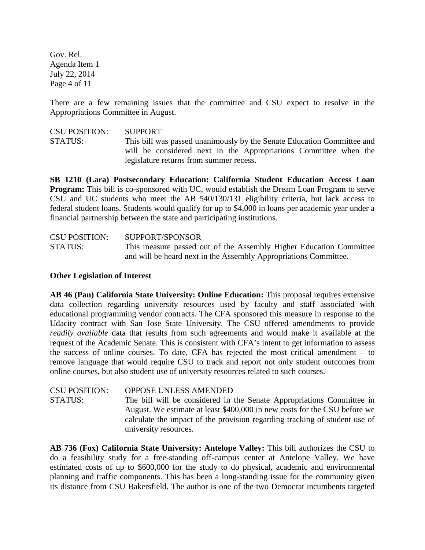Gov. Rel. Agenda Item 1 July 22, 2014 Page 4 of 11

There are a few remaining issues that the committee and CSU expect to resolve in the Appropriations Committee in August.

CSU POSITION: SUPPORT STATUS: This bill was passed unanimously by the Senate Education Committee and will be considered next in the Appropriations Committee when the legislature returns from summer recess.

**SB 1210 (Lara) Postsecondary Education: California Student Education Access Loan Program:** This bill is co-sponsored with UC, would establish the Dream Loan Program to serve CSU and UC students who meet the AB 540/130/131 eligibility criteria, but lack access to federal student loans. Students would qualify for up to \$4,000 in loans per academic year under a financial partnership between the state and participating institutions.

| <b>CSU POSITION:</b> | SUPPORT/SPONSOR                                                    |
|----------------------|--------------------------------------------------------------------|
| <b>STATUS:</b>       | This measure passed out of the Assembly Higher Education Committee |
|                      | and will be heard next in the Assembly Appropriations Committee.   |

## **Other Legislation of Interest**

**AB 46 (Pan) California State University: Online Education:** This proposal requires extensive data collection regarding university resources used by faculty and staff associated with educational programming vendor contracts. The CFA sponsored this measure in response to the Udacity contract with San Jose State University. The CSU offered amendments to provide *readily available* data that results from such agreements and would make it available at the request of the Academic Senate. This is consistent with CFA's intent to get information to assess the success of online courses. To date, CFA has rejected the most critical amendment – to remove language that would require CSU to track and report not only student outcomes from online courses, but also student use of university resources related to such courses.

CSU POSITION: OPPOSE UNLESS AMENDED STATUS: The bill will be considered in the Senate Appropriations Committee in August. We estimate at least \$400,000 in new costs for the CSU before we calculate the impact of the provision regarding tracking of student use of university resources.

**AB 736 (Fox) California State University: Antelope Valley:** This bill authorizes the CSU to do a feasibility study for a free-standing off-campus center at Antelope Valley. We have estimated costs of up to \$600,000 for the study to do physical, academic and environmental planning and traffic components. This has been a long-standing issue for the community given its distance from CSU Bakersfield. The author is one of the two Democrat incumbents targeted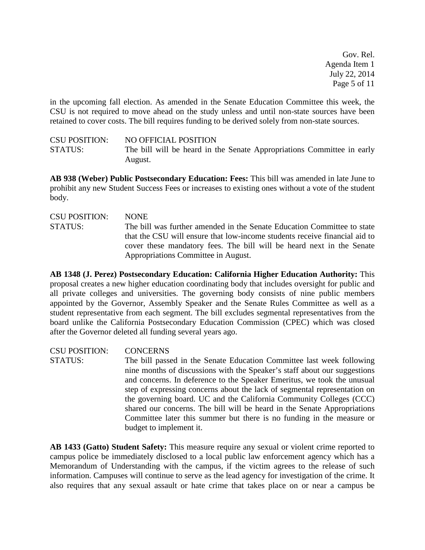Gov. Rel. Agenda Item 1 July 22, 2014 Page 5 of 11

in the upcoming fall election. As amended in the Senate Education Committee this week, the CSU is not required to move ahead on the study unless and until non-state sources have been retained to cover costs. The bill requires funding to be derived solely from non-state sources.

CSU POSITION: NO OFFICIAL POSITION STATUS: The bill will be heard in the Senate Appropriations Committee in early August.

**AB 938 (Weber) Public Postsecondary Education: Fees:** This bill was amended in late June to prohibit any new Student Success Fees or increases to existing ones without a vote of the student body.

CSU POSITION: NONE STATUS: The bill was further amended in the Senate Education Committee to state that the CSU will ensure that low-income students receive financial aid to cover these mandatory fees. The bill will be heard next in the Senate Appropriations Committee in August.

**AB 1348 (J. Perez) Postsecondary Education: California Higher Education Authority:** This proposal creates a new higher education coordinating body that includes oversight for public and all private colleges and universities. The governing body consists of nine public members appointed by the Governor, Assembly Speaker and the Senate Rules Committee as well as a student representative from each segment. The bill excludes segmental representatives from the board unlike the California Postsecondary Education Commission (CPEC) which was closed after the Governor deleted all funding several years ago.

CSU POSITION: CONCERNS STATUS: The bill passed in the Senate Education Committee last week following nine months of discussions with the Speaker's staff about our suggestions and concerns. In deference to the Speaker Emeritus, we took the unusual step of expressing concerns about the lack of segmental representation on the governing board. UC and the California Community Colleges (CCC) shared our concerns. The bill will be heard in the Senate Appropriations Committee later this summer but there is no funding in the measure or budget to implement it.

**AB 1433 (Gatto) Student Safety:** This measure require any sexual or violent crime reported to campus police be immediately disclosed to a local public law enforcement agency which has a Memorandum of Understanding with the campus, if the victim agrees to the release of such information. Campuses will continue to serve as the lead agency for investigation of the crime. It also requires that any sexual assault or hate crime that takes place on or near a campus be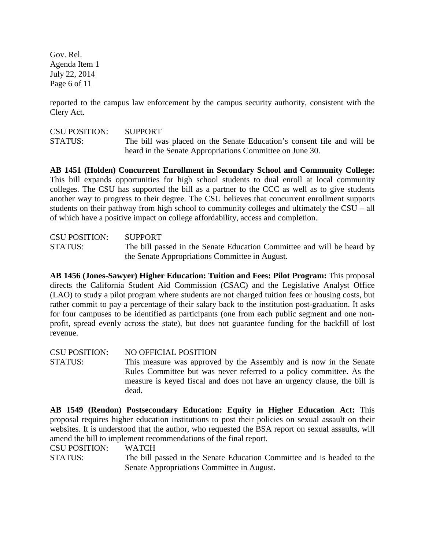Gov. Rel. Agenda Item 1 July 22, 2014 Page 6 of 11

reported to the campus law enforcement by the campus security authority, consistent with the Clery Act.

CSU POSITION: SUPPORT STATUS: The bill was placed on the Senate Education's consent file and will be heard in the Senate Appropriations Committee on June 30.

**AB 1451 (Holden) Concurrent Enrollment in Secondary School and Community College:** This bill expands opportunities for high school students to dual enroll at local community colleges. The CSU has supported the bill as a partner to the CCC as well as to give students another way to progress to their degree. The CSU believes that concurrent enrollment supports students on their pathway from high school to community colleges and ultimately the CSU – all of which have a positive impact on college affordability, access and completion.

CSU POSITION: SUPPORT STATUS: The bill passed in the Senate Education Committee and will be heard by the Senate Appropriations Committee in August.

**AB 1456 (Jones-Sawyer) Higher Education: Tuition and Fees: Pilot Program:** This proposal directs the California Student Aid Commission (CSAC) and the Legislative Analyst Office (LAO) to study a pilot program where students are not charged tuition fees or housing costs, but rather commit to pay a percentage of their salary back to the institution post-graduation. It asks for four campuses to be identified as participants (one from each public segment and one nonprofit, spread evenly across the state), but does not guarantee funding for the backfill of lost revenue.

CSU POSITION: NO OFFICIAL POSITION STATUS: This measure was approved by the Assembly and is now in the Senate Rules Committee but was never referred to a policy committee. As the measure is keyed fiscal and does not have an urgency clause, the bill is dead.

**AB 1549 (Rendon) Postsecondary Education: Equity in Higher Education Act:** This proposal requires higher education institutions to post their policies on sexual assault on their websites. It is understood that the author, who requested the BSA report on sexual assaults, will amend the bill to implement recommendations of the final report.

CSU POSITION: WATCH

STATUS: The bill passed in the Senate Education Committee and is headed to the Senate Appropriations Committee in August.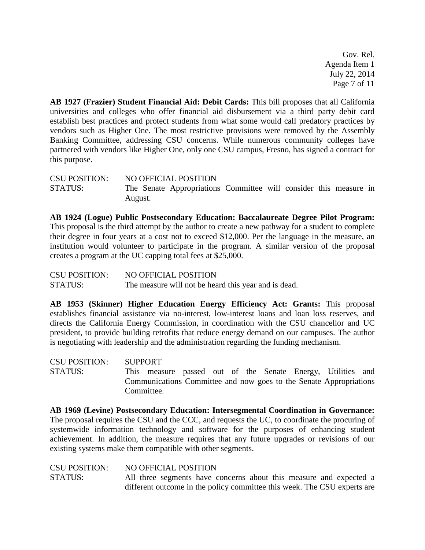Gov. Rel. Agenda Item 1 July 22, 2014 Page 7 of 11

**AB 1927 (Frazier) Student Financial Aid: Debit Cards:** This bill proposes that all California universities and colleges who offer financial aid disbursement via a third party debit card establish best practices and protect students from what some would call predatory practices by vendors such as Higher One. The most restrictive provisions were removed by the Assembly Banking Committee, addressing CSU concerns. While numerous community colleges have partnered with vendors like Higher One, only one CSU campus, Fresno, has signed a contract for this purpose.

CSU POSITION: NO OFFICIAL POSITION STATUS: The Senate Appropriations Committee will consider this measure in August.

**AB 1924 (Logue) Public Postsecondary Education: Baccalaureate Degree Pilot Program:**  This proposal is the third attempt by the author to create a new pathway for a student to complete their degree in four years at a cost not to exceed \$12,000. Per the language in the measure, an institution would volunteer to participate in the program. A similar version of the proposal creates a program at the UC capping total fees at \$25,000.

CSU POSITION: NO OFFICIAL POSITION STATUS: The measure will not be heard this year and is dead.

**AB 1953 (Skinner) Higher Education Energy Efficiency Act: Grants:** This proposal establishes financial assistance via no-interest, low-interest loans and loan loss reserves, and directs the California Energy Commission, in coordination with the CSU chancellor and UC president, to provide building retrofits that reduce energy demand on our campuses. The author is negotiating with leadership and the administration regarding the funding mechanism.

CSU POSITION: SUPPORT STATUS: This measure passed out of the Senate Energy, Utilities and Communications Committee and now goes to the Senate Appropriations Committee.

**AB 1969 (Levine) Postsecondary Education: Intersegmental Coordination in Governance:** The proposal requires the CSU and the CCC, and requests the UC, to coordinate the procuring of systemwide information technology and software for the purposes of enhancing student achievement. In addition, the measure requires that any future upgrades or revisions of our existing systems make them compatible with other segments.

CSU POSITION: NO OFFICIAL POSITION STATUS: All three segments have concerns about this measure and expected a different outcome in the policy committee this week. The CSU experts are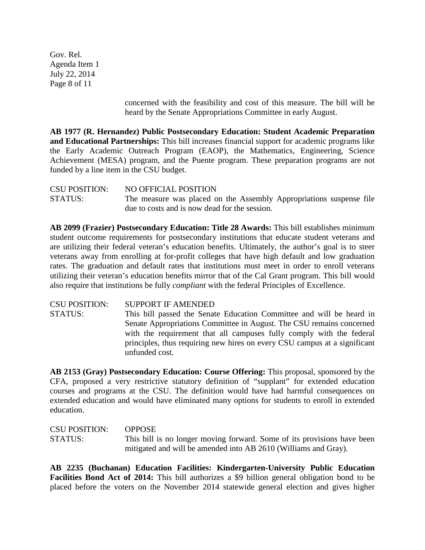Gov. Rel. Agenda Item 1 July 22, 2014 Page 8 of 11

> concerned with the feasibility and cost of this measure. The bill will be heard by the Senate Appropriations Committee in early August.

**AB 1977 (R. Hernandez) Public Postsecondary Education: Student Academic Preparation and Educational Partnerships:** This bill increases financial support for academic programs like the Early Academic Outreach Program (EAOP), the Mathematics, Engineering, Science Achievement (MESA) program, and the Puente program. These preparation programs are not funded by a line item in the CSU budget.

CSU POSITION: NO OFFICIAL POSITION STATUS: The measure was placed on the Assembly Appropriations suspense file due to costs and is now dead for the session.

**AB 2099 (Frazier) Postsecondary Education: Title 28 Awards:** This bill establishes minimum student outcome requirements for postsecondary institutions that educate student veterans and are utilizing their federal veteran's education benefits. Ultimately, the author's goal is to steer veterans away from enrolling at for-profit colleges that have high default and low graduation rates. The graduation and default rates that institutions must meet in order to enroll veterans utilizing their veteran's education benefits mirror that of the Cal Grant program. This bill would also require that institutions be fully *compliant* with the federal Principles of Excellence.

CSU POSITION: SUPPORT IF AMENDED STATUS: This bill passed the Senate Education Committee and will be heard in Senate Appropriations Committee in August. The CSU remains concerned with the requirement that all campuses fully comply with the federal principles, thus requiring new hires on every CSU campus at a significant unfunded cost.

**AB 2153 (Gray) Postsecondary Education: Course Offering:** This proposal, sponsored by the CFA, proposed a very restrictive statutory definition of "supplant" for extended education courses and programs at the CSU. The definition would have had harmful consequences on extended education and would have eliminated many options for students to enroll in extended education.

| <b>CSU POSITION:</b> | <b>OPPOSE</b>                                                           |
|----------------------|-------------------------------------------------------------------------|
| <b>STATUS:</b>       | This bill is no longer moving forward. Some of its provisions have been |
|                      | mitigated and will be amended into AB 2610 (Williams and Gray).         |

**AB 2235 (Buchanan) Education Facilities: Kindergarten-University Public Education Facilities Bond Act of 2014:** This bill authorizes a \$9 billion general obligation bond to be placed before the voters on the November 2014 statewide general election and gives higher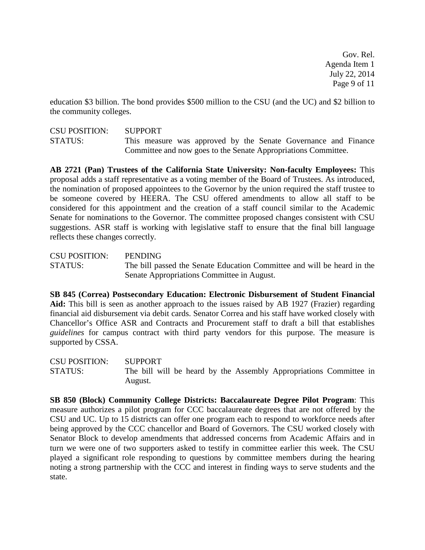Gov. Rel. Agenda Item 1 July 22, 2014 Page 9 of 11

education \$3 billion. The bond provides \$500 million to the CSU (and the UC) and \$2 billion to the community colleges.

CSU POSITION: SUPPORT STATUS: This measure was approved by the Senate Governance and Finance Committee and now goes to the Senate Appropriations Committee.

**AB 2721 (Pan) Trustees of the California State University: Non-faculty Employees:** This proposal adds a staff representative as a voting member of the Board of Trustees. As introduced, the nomination of proposed appointees to the Governor by the union required the staff trustee to be someone covered by HEERA. The CSU offered amendments to allow all staff to be considered for this appointment and the creation of a staff council similar to the Academic Senate for nominations to the Governor. The committee proposed changes consistent with CSU suggestions. ASR staff is working with legislative staff to ensure that the final bill language reflects these changes correctly.

CSU POSITION: PENDING STATUS: The bill passed the Senate Education Committee and will be heard in the Senate Appropriations Committee in August.

**SB 845 (Correa) Postsecondary Education: Electronic Disbursement of Student Financial Aid:** This bill is seen as another approach to the issues raised by AB 1927 (Frazier) regarding financial aid disbursement via debit cards. Senator Correa and his staff have worked closely with Chancellor's Office ASR and Contracts and Procurement staff to draft a bill that establishes *guidelines* for campus contract with third party vendors for this purpose. The measure is supported by CSSA.

CSU POSITION: SUPPORT STATUS: The bill will be heard by the Assembly Appropriations Committee in August.

**SB 850 (Block) Community College Districts: Baccalaureate Degree Pilot Program**: This measure authorizes a pilot program for CCC baccalaureate degrees that are not offered by the CSU and UC. Up to 15 districts can offer one program each to respond to workforce needs after being approved by the CCC chancellor and Board of Governors. The CSU worked closely with Senator Block to develop amendments that addressed concerns from Academic Affairs and in turn we were one of two supporters asked to testify in committee earlier this week. The CSU played a significant role responding to questions by committee members during the hearing noting a strong partnership with the CCC and interest in finding ways to serve students and the state.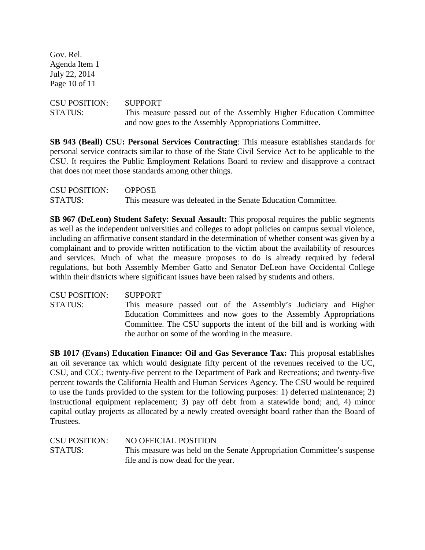Gov. Rel. Agenda Item 1 July 22, 2014 Page 10 of 11

# CSU POSITION: SUPPORT STATUS: This measure passed out of the Assembly Higher Education Committee and now goes to the Assembly Appropriations Committee.

**SB 943 (Beall) CSU: Personal Services Contracting**: This measure establishes standards for personal service contracts similar to those of the State Civil Service Act to be applicable to the CSU. It requires the Public Employment Relations Board to review and disapprove a contract that does not meet those standards among other things.

| <b>CSU POSITION:</b> | <b>OPPOSE</b>                                                |
|----------------------|--------------------------------------------------------------|
| <b>STATUS:</b>       | This measure was defeated in the Senate Education Committee. |

**SB 967 (DeLeon) Student Safety: Sexual Assault:** This proposal requires the public segments as well as the independent universities and colleges to adopt policies on campus sexual violence, including an affirmative consent standard in the determination of whether consent was given by a complainant and to provide written notification to the victim about the availability of resources and services. Much of what the measure proposes to do is already required by federal regulations, but both Assembly Member Gatto and Senator DeLeon have Occidental College within their districts where significant issues have been raised by students and others.

CSU POSITION: SUPPORT STATUS: This measure passed out of the Assembly's Judiciary and Higher Education Committees and now goes to the Assembly Appropriations Committee. The CSU supports the intent of the bill and is working with the author on some of the wording in the measure.

**SB 1017 (Evans) Education Finance: Oil and Gas Severance Tax:** This proposal establishes an oil severance tax which would designate fifty percent of the revenues received to the UC, CSU, and CCC; twenty-five percent to the Department of Park and Recreations; and twenty-five percent towards the California Health and Human Services Agency. The CSU would be required to use the funds provided to the system for the following purposes: 1) deferred maintenance; 2) instructional equipment replacement; 3) pay off debt from a statewide bond; and, 4) minor capital outlay projects as allocated by a newly created oversight board rather than the Board of Trustees.

| <b>CSU POSITION:</b> | NO OFFICIAL POSITION                                                   |
|----------------------|------------------------------------------------------------------------|
| STATUS:              | This measure was held on the Senate Appropriation Committee's suspense |
|                      | file and is now dead for the year.                                     |